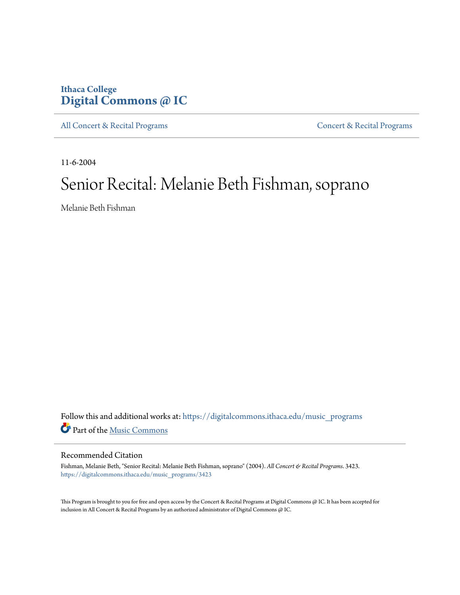# **Ithaca College [Digital Commons @ IC](https://digitalcommons.ithaca.edu?utm_source=digitalcommons.ithaca.edu%2Fmusic_programs%2F3423&utm_medium=PDF&utm_campaign=PDFCoverPages)**

[All Concert & Recital Programs](https://digitalcommons.ithaca.edu/music_programs?utm_source=digitalcommons.ithaca.edu%2Fmusic_programs%2F3423&utm_medium=PDF&utm_campaign=PDFCoverPages) **[Concert & Recital Programs](https://digitalcommons.ithaca.edu/som_programs?utm_source=digitalcommons.ithaca.edu%2Fmusic_programs%2F3423&utm_medium=PDF&utm_campaign=PDFCoverPages)** 

11-6-2004

# Senior Recital: Melanie Beth Fishman, soprano

Melanie Beth Fishman

Follow this and additional works at: [https://digitalcommons.ithaca.edu/music\\_programs](https://digitalcommons.ithaca.edu/music_programs?utm_source=digitalcommons.ithaca.edu%2Fmusic_programs%2F3423&utm_medium=PDF&utm_campaign=PDFCoverPages) Part of the [Music Commons](http://network.bepress.com/hgg/discipline/518?utm_source=digitalcommons.ithaca.edu%2Fmusic_programs%2F3423&utm_medium=PDF&utm_campaign=PDFCoverPages)

### Recommended Citation

Fishman, Melanie Beth, "Senior Recital: Melanie Beth Fishman, soprano" (2004). *All Concert & Recital Programs*. 3423. [https://digitalcommons.ithaca.edu/music\\_programs/3423](https://digitalcommons.ithaca.edu/music_programs/3423?utm_source=digitalcommons.ithaca.edu%2Fmusic_programs%2F3423&utm_medium=PDF&utm_campaign=PDFCoverPages)

This Program is brought to you for free and open access by the Concert & Recital Programs at Digital Commons @ IC. It has been accepted for inclusion in All Concert & Recital Programs by an authorized administrator of Digital Commons @ IC.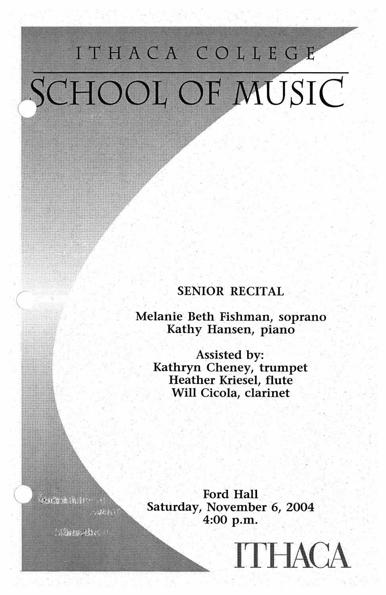# ITHACA COLLEGE SCHOOL OF MUSIC

# SENIOR RECITAL

Melanie Beth Fishman, soprano Kathy Hansen, piano

Assisted by: Kathryn Cheney, trumpet Heather Kriesel, flute Will Cicola, clarinet

Ford Hall Saturday, November 6, 2004 4:00 p.m.

**TTHACA** 

 $1.2898 \pm 0.002$ 

W.

**CONSTRUCTION**